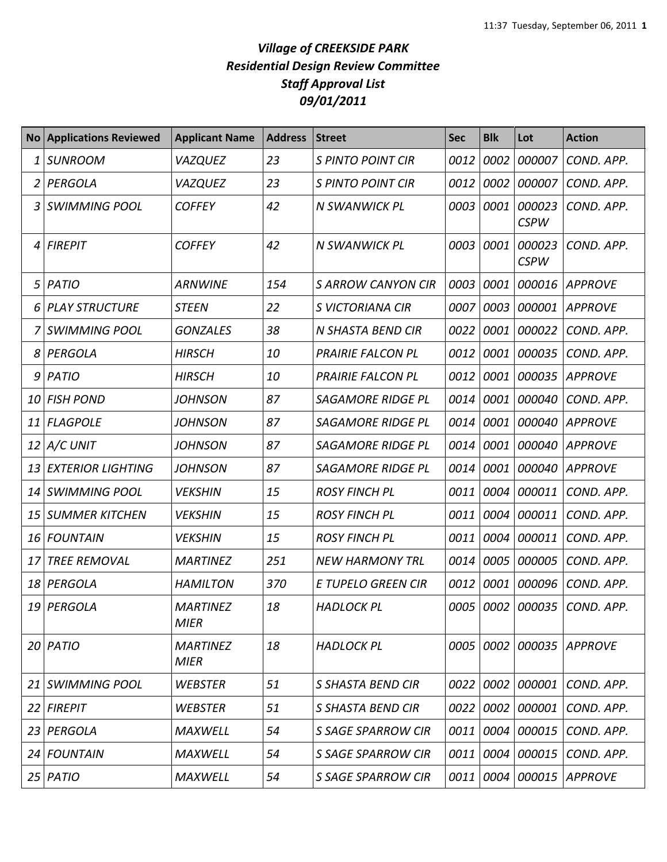## *Village of CREEKSIDE PARK Residential Design Review Committee Staff Approval List 09/01/2011*

|    | <b>No Applications Reviewed</b> | <b>Applicant Name</b>          | <b>Address</b> | <b>Street</b>             | <b>Sec</b> | <b>Blk</b> | Lot                   | <b>Action</b>  |
|----|---------------------------------|--------------------------------|----------------|---------------------------|------------|------------|-----------------------|----------------|
|    | <b>SUNROOM</b>                  | <b>VAZQUEZ</b>                 | 23             | <b>S PINTO POINT CIR</b>  | 0012       | 0002       | 000007                | COND. APP.     |
|    | PERGOLA                         | <b>VAZQUEZ</b>                 | 23             | <b>S PINTO POINT CIR</b>  | 0012       | 0002       | 000007                | COND. APP.     |
| 3  | <b>SWIMMING POOL</b>            | <b>COFFEY</b>                  | 42             | N SWANWICK PL             | 0003       | 0001       | 000023<br><b>CSPW</b> | COND. APP.     |
| 4  | <b>FIREPIT</b>                  | <b>COFFEY</b>                  | 42             | N SWANWICK PL             | 0003       | 0001       | 000023<br><b>CSPW</b> | COND. APP.     |
| 5  | PATIO                           | <b>ARNWINE</b>                 | 154            | S ARROW CANYON CIR        | 0003       | 0001       | 000016                | <b>APPROVE</b> |
| 6  | <b>PLAY STRUCTURE</b>           | <b>STEEN</b>                   | 22             | S VICTORIANA CIR          | 0007       | 0003       | 000001                | <b>APPROVE</b> |
|    | <b>SWIMMING POOL</b>            | <b>GONZALES</b>                | 38             | N SHASTA BEND CIR         | 0022       | 0001       | 000022                | COND. APP.     |
| 8  | PERGOLA                         | <b>HIRSCH</b>                  | 10             | <b>PRAIRIE FALCON PL</b>  | 0012       | 0001       | 000035                | COND. APP.     |
| 9  | PATIO                           | <b>HIRSCH</b>                  | 10             | <b>PRAIRIE FALCON PL</b>  | 0012       | 0001       | 000035                | <b>APPROVE</b> |
| 10 | <b>FISH POND</b>                | <b>JOHNSON</b>                 | 87             | <b>SAGAMORE RIDGE PL</b>  | 0014       | 0001       | 000040                | COND. APP.     |
| 11 | <b>FLAGPOLE</b>                 | <b>JOHNSON</b>                 | 87             | <b>SAGAMORE RIDGE PL</b>  | 0014       | 0001       | 000040                | <b>APPROVE</b> |
| 12 | A/C UNIT                        | <b>JOHNSON</b>                 | 87             | <b>SAGAMORE RIDGE PL</b>  | 0014       | 0001       | 000040                | <b>APPROVE</b> |
| 13 | <b>EXTERIOR LIGHTING</b>        | <b>JOHNSON</b>                 | 87             | <b>SAGAMORE RIDGE PL</b>  | 0014       | 0001       | 000040                | <b>APPROVE</b> |
| 14 | SWIMMING POOL                   | <b>VEKSHIN</b>                 | 15             | <b>ROSY FINCH PL</b>      | 0011       |            | 0004 000011           | COND. APP.     |
| 15 | <b>SUMMER KITCHEN</b>           | <b>VEKSHIN</b>                 | 15             | <b>ROSY FINCH PL</b>      | 0011       | 0004       | 000011                | COND. APP.     |
| 16 | FOUNTAIN                        | <b>VEKSHIN</b>                 | 15             | <b>ROSY FINCH PL</b>      | 0011       |            | 0004 000011           | COND. APP.     |
| 17 | <b>TREE REMOVAL</b>             | <b>MARTINEZ</b>                | 251            | <b>NEW HARMONY TRL</b>    | 0014       | 0005       | 000005                | COND. APP.     |
| 18 | PERGOLA                         | <b>HAMILTON</b>                | 370            | E TUPELO GREEN CIR        | 0012       | 0001       | 000096                | COND. APP.     |
|    | 19 PERGOLA                      | <b>MARTINEZ</b><br><b>MIER</b> | 18             | <b>HADLOCK PL</b>         | 0005       |            | 0002 000035           | COND. APP.     |
|    | $20$ PATIO                      | <b>MARTINEZ</b><br><b>MIER</b> | 18             | <b>HADLOCK PL</b>         |            |            | 0005 0002 000035      | <b>APPROVE</b> |
| 21 | <i><b>SWIMMING POOL</b></i>     | <b>WEBSTER</b>                 | 51             | S SHASTA BEND CIR         | 0022       |            | 0002 000001           | COND. APP.     |
| 22 | <b>FIREPIT</b>                  | <b>WEBSTER</b>                 | 51             | S SHASTA BEND CIR         | 0022       |            | 0002 000001           | COND. APP.     |
| 23 | PERGOLA                         | <b>MAXWELL</b>                 | 54             | <b>S SAGE SPARROW CIR</b> | 0011       |            | 0004 000015           | COND. APP.     |
| 24 | <b>FOUNTAIN</b>                 | <b>MAXWELL</b>                 | 54             | <b>S SAGE SPARROW CIR</b> | 0011       |            | 0004 000015           | COND. APP.     |
|    | $25$ PATIO                      | <b>MAXWELL</b>                 | 54             | <b>S SAGE SPARROW CIR</b> | 0011       |            | 0004 000015           | <b>APPROVE</b> |